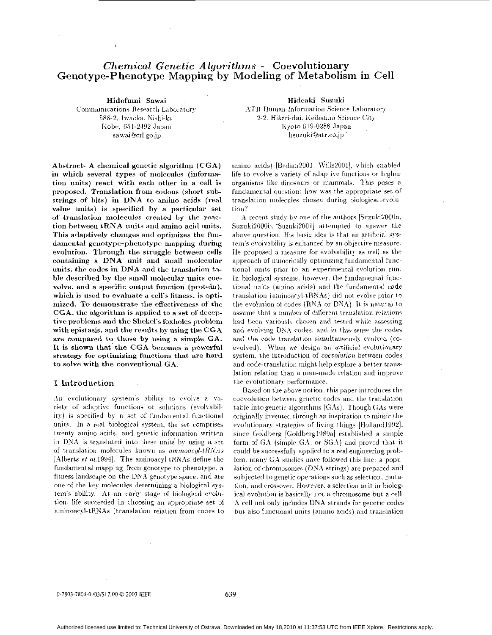# *Chemical Genetic Algorithms - Coevolutionary* Genotype-Phenotype Mapping by Modeling of Metabolism in Cell

Hidefumi Sawai Communications Research Laboratory 588-2, Iwaoka, Nishi-ku Kobe, 651-2492 Japan sawai@crl.go.jp

Hideaki Suzuki ATR Human Information Science Laboratory 2-2. Hikari-dai, Keihanna Science City Kyoto 619-0288 Japan hsuzuki@atr.co.jp

Abstract- A chemical genetic algorithm (CGA) in which several types of molecules (information units) react with each other in a cell is proposed. Translation from codons (short substrings of bits) in DNA to amino acids (real value units) is specified by a particular set of translation molecules created by the reaction between tRNA units and amino acid units. This adaptively changes and optimizes the fundamental genotype-phenotype mapping during evolution. Through the struggle between cells containing a DNA unit and small molecular units, the codes in DNA and the translation table described by the small molecular units coevolve, and a specific output function (protein), which is used to evaluate a cell's fitness, is optimized. To demonstrate the effectiveness of the CGA, the algorithm is applied to a set of deceptive problems and the Shekel's foxholes problem with epistasis, and the results by using the CGA are compared to those by using a simple GA. It is shown that the CGA becomes a nowerful strategy for optimizing functions that are hard to solve with the conventional GA.

### 1 Introduction

An evolutionary system's ability to evolve a variety of adaptive functions or solutions (evolvability) is specified by a set of fundamental functional units. In a real biological system, the set comprises twenty amino acids, and genetic information written in DNA is translated into these units by using a set of translation molecules known as aminoacyl-tRNAs [Alberts  $\epsilon t$  al.1994]. The aminoacyl-tRNAs define the fundamental mapping from genotype to phenotype, a fitness landscape on the DNA genotype space, and are one of the key molecules determining a biological system's ability. At an early stage of biological evolution. life succeeded in choosing an appropriate set of aminoacyl-tRNAs (translation relation from codes to amino acids) [Bedian2001, Wills2001], which enabled life to evolve a variety of adaptive functions or higher organisms like dinosaurs or mammals. This poses a fundamental question: how was the appropriate set of translation molecules chosen during biological-evolution?

A recent study by one of the authors [Suzuki2000a, Suzuki2000b. 'Suzuki2001] attempted to answer the above question. His basic idea is that an artificial system's evolvability is enhanced by an objective measure. He proposed a measure for evolvability as well as the approach of numerically optimizing fundamental functional units prior to an experimental evolution run. In biological systems, however, the fundamental functional units (amino acids) and the fundamental code translation (aminoacyl-tRNAs) did not evolve prior to the evolution of codes (RNA or DNA). It is natural to assume that a number of different translation relations had been variously chosen and tested while assessing and evolving DNA codes, and in this sense the codes and the code translation simultaneously evolved (coevolved). When we design an artificial evolutionary system, the introduction of coevolution between codes and code-translation might help explore a better translation relation than a man-made relation and improve the evolutionary performance.

Based on the above notion, this paper introduces the coevolution between genetic codes and the translation table into genetic algorithms (GAs). Though GAs were originally invented through an inspiration to mimic the evolutionary strategies of living things [Holland1992]. since Goldberg [Goldberg1989a] established a simple form of GA (simple GA, or SGA) and proved that it could be successfully applied to a real engineering problem, many GA studies have followed this line: a population of chromosomes (DNA strings) are prepared and subjected to genetic operations such as selection, mutation, and crossover. However, a selection unit in biological evolution is basically not a chromosome but a cell. A cell not only includes DNA strands for genetic codes but also functional units (amino acids) and translation

0-7803-7804-0 /03/\$17.00 @ 2003 IEEE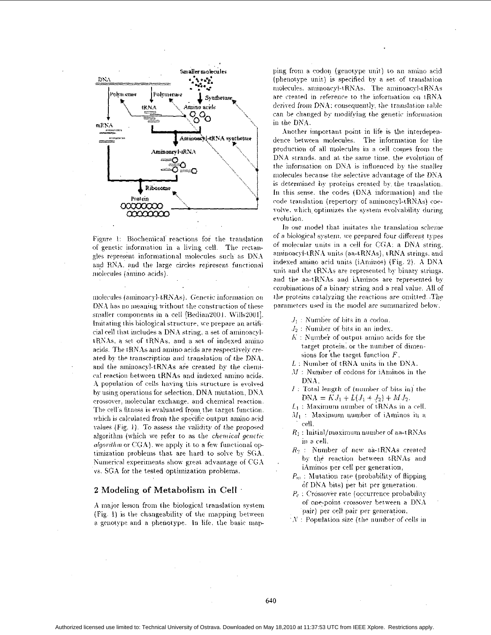

Figure 1: Biochemical reactions for the translation of genetic information in a living cell. The rectangles represent informational molecules such as DNA and RNA, and the large circles represent functional molecules (amino acids).

molecules (aminoacyl-tRNAs). Genetic information on DNA has no meaning without the construction of these smaller components in a cell [Bedian2001, Wills2001]. Imitating this biological structure, we prepare an artificial cell that includes a DNA string, a set of aminoacyltRNAs, a set of tRNAs, and a set of indexed amino acids. The tRNAs and amino acids are respectively created by the transcription and translation of the DNA. and the aminoacyl-tRNAs are created by the chemical reaction between tRNAs and indexed amino acids. A population of cells having this structure is evolved by using operations for selection. DNA mutation, DNA crossover, molecular exchange, and chemical reaction. The cell's fitness is evaluated from the target function. which is calculated from the specific output amino acid values (Fig. 1). To assess the validity of the proposed algorithm (which we refer to as the chemical genetic *algorithm* or CGA), we apply it to a few functional optimization problems that are hard to solve by SGA. Numerical experiments show great advantage of CGA vs. SGA for the tested optimization problems.

### 2 Modeling of Metabolism in Cell .

A major lesson from the biological translation system (Fig. 1) is the changeability of the mapping between a genotype and a phenotype. In life, the basic mapping from a codon (genotype unit) to an amino acid (phenotype unit) is specified by a set of translation molecules, aminoacyl-tRNAs. The aminoacyl-tRNAs are created in reference to the information on tRNA derived from DNA: consequently, the translation table can be changed by modifying the genetic information in the DNA.

Another important point in life is the interdependence between molecules. The information for the production of all molecules in a cell comes from the DNA strands, and at the same time, the evolution of the information on DNA is influenced by the smaller molecules because the selective advantage of the DNA is determined by proteins created by the translation. In this sense, the codes (DNA information) and the code translation (repertory of aminoacyl-tRNAs) coevolve, which optimizes the system evolvability during evolution.

In our model that imitates the translation scheme of a biological system, we prepared four different types of molecular units in a cell for CGA: a DNA string. aminoacyl-tRNA units (aa-tRNAs), tRNA strings, and indexed amino acid units (iAminos) (Fig. 2). A DNA unit and the tRNAs are represented by binary strings. and the aa-tRNAs and iAminos are represented by combinations of a binary string and a real value. All of the proteins catalyzing the reactions are omitted. The parameters used in the model are summarized below.

- $J_1$ : Number of bits in a codon.
- $J_2$ : Number of bits in an index.
- $K$ : Number of output amino acids for the target protein, or the number of dimensions for the target function  $F$ ,
- $L$ : Number of tRNA units in the DNA.
- $M$ : Number of codons for iAminos in the DNA.
- $I$ : Total length of (number of bits in) the  $DNA = KJ_1 + L(J_1 + J_2) + MJ_2.$
- $L_1$ : Maximum number of tRNAs in a cell.  $M_1$ : Maximum number of iAminos in a cell.
- $R_1$ : Initial/maximum number of aa-tRNAs in a cell.
- $R_2$  : Number of new aa-tRNAs created by the reaction between tRNAs and iAminos per cell per generation,
- $P_m$ : Mutation rate (probability of flipping of DNA bits) per bit per generation.
- $P_c$ : Crossover rate (occurrence probability of one-point crossover between a DNA pair) per cell pair per generation.
- $N$ : Population size (the number of cells in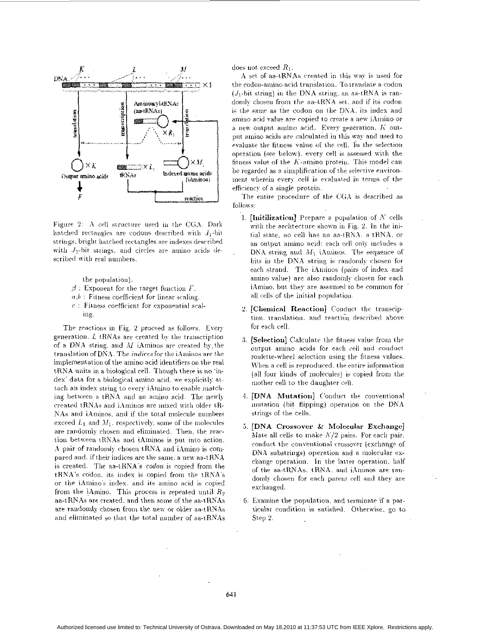

Figure 2: A cell structure used in the CGA. Dark hatched rectangles are codons described with  $J_1$ -bit strings, bright hatched rectangles are indexes described with  $J_2$ -bit strings, and circles are amino acids described with real numbers.

the population).

- $\beta$ : Exponent for the target function F.
- $a,b$ : Fitness coefficient for linear scaling.
- $c$ : Fitness coefficient for exponential scaling.

The reactions in Fig. 2 proceed as follows. Every generation,  $L$  tRNAs are created by the transcription of a DNA string, and  $M$  iAminos are created by the translation of DNA. The *indices* for the *iAminos* are the implementation of the amino acid identifiers on the real tRNA units in a biological cell. Though there is no 'index' data for a biological amino acid, we explicitly attach an index string to every iAmino to enable matching between a tRNA and an amino acid. The newly created tRNAs and iAminos are mixed with older tR-NAs and iAminos, and if the total molecule numbers exceed  $L_1$  and  $M_1$ , respectively, some of the molecules are randomly chosen and eliminated. Then, the reaction between tRNAs and iAminos is put into action. A pair of randomly chosen tRNA and iAmino is compared and, if their indices are the same, a new aa-tRNA is created. The aa-tRNA's codon is copied from the tRNA's codon, its index is copied from the tRNA's or the iAmino's index, and its amino acid is copied from the iAmino. This process is repeated until  $R_2$ aa-tRNAs are created, and then some of the aa-tRNAs are randomly chosen from the new or older aa-tRNAs and eliminated so that the total number of aa-tRNAs

does not exceed  $R_1$ .

A set of aa-tRNAs created in this way is used for the codon-amino acid translation. To translate a codon  $(J_1$ -bit string) in the DNA string, an aa-tRNA is randomly chosen from the aa-tRNA set, and if its codon is the same as the codon on the DNA, its index and amino acid value are copied to create a new iAmino or a new output amino acid. Every generation.  $K$  output amino acids are calculated in this way and used to evaluate the fitness value of the cell. In the selection operation (see below), every cell is assessed with the fitness value of the K-amino protein. This model can be regarded as a simplification of the selective environment wherein every cell is evaluated in terms of the efficiency of a single protein.

The entire procedure of the CGA is described as follows:

- 1. [Initilization] Prepare a population of  $N$  cells with the archtecture shown in Fig. 2. In the initial state, no cell has an aa-tRNA, a tRNA, or an output amino acid: each cell only includes a DNA string and  $M_1$  iAminos. The sequence of bits in the DNA string is randomly chosen for each strand. The iAminos (pairs of index and amino value) are also randomly chosen for each iAmino, but they are assumed to be common for all cells of the initial population.
- 2. [Chemical Reaction] Conduct the transciption, translation, and reaction described above for each cell.
- 3. [Selection] Calculate the fitness value from the output amino acids for each cell and conduct roulette-wheel selection using the fitness values. When a cell is reproduced, the entire information (all four kinds of molecules) is copied from the mother cell to the daughter cell.
- 4. [DNA Mutation] Conduct the conventional mutation (bit flipping) operation on the DNA strings of the cells.
- 5. [DNA Crossover & Molecular Exchange] Mate all cells to make  $N/2$  pairs. For each pair. conduct the conventional crossover (exchange of DNA substrings) operation and a molecular exchange operation. In the latter operation, half of the aa-tRNAs, tRNA, and iAminos are randomly chosen for each parent cell and they are exchanged.
- 6. Examine the population, and terminate if a particular condition is satisfied. Otherwise, go to Step 2.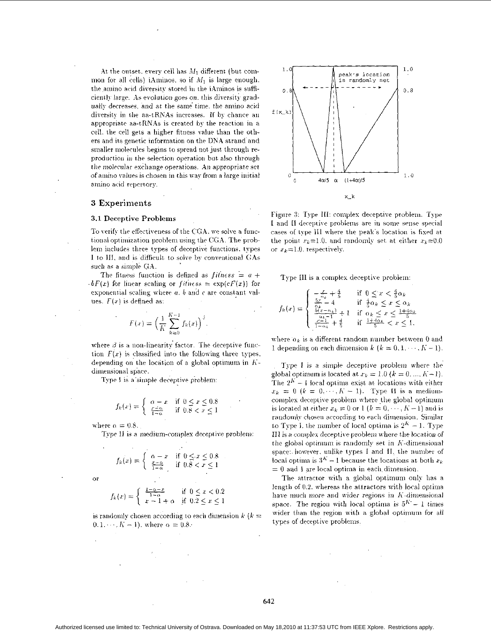At the outset, every cell has  $M_1$  different (but common for all cells) iAminos, so if  $M_1$  is large enough, the amino acid diversity stored in the iAminos is sufficiently large. As evolution goes on, this diversity gradually decreases, and at the same time, the amino acid diversity in the aa-tRNAs increases. If by chance an appropriate aa-tRNAs is created by the reaction in a cell, the cell gets a higher fitness value than the others and its genetic information on the DNA strand and smaller molecules begins to spread not just through reproduction in the selection operation but also through the molecular exchange operations. An appropriate set of amino values is chosen in this way from a large initial amino acid repertory.

### 3 Experiments

#### 3.1 Deceptive Problems

To verify the effectiveness of the CGA, we solve a functional optimization problem using the CGA. The problem includes three types of deceptive functions, types I to III, and is difficult to solve by conventional GAs such as a simple GA.

The fitness function is defined as *fitness* =  $a +$  $\cdot bF(x)$  for linear scaling or fitness =  $\exp(cF(x))$  for exponential scaling where a, b and c are constant values.  $F(x)$  is defined as:

$$
F(x) = \left(\frac{1}{K} \sum_{k=0}^{K-1} f_k(x)\right)^3
$$

where  $\beta$  is a non-linearity factor. The deceptive function  $F(x)$  is classified into the following three types, depending on the location of a global optimum in  $K$ dimensional space.

Type I is a simple deceptive problem:

$$
f_k(x) = \begin{cases} \alpha - x & \text{if } 0 \le x \le 0.8\\ \frac{x - \alpha}{1 - \alpha} & \text{if } 0.8 < x \le 1 \end{cases}
$$

where  $\alpha = 0.8$ .

Type II is a medium-complex deceptive problem:

$$
f_k(x) = \begin{cases} \alpha - x & \text{if } 0 \le x \le 0.8\\ \frac{x - \alpha}{1 - \alpha} & \text{if } 0.8 < x \le 1 \end{cases}
$$

 $\alpha$ 

$$
f_k(x) = \begin{cases} \frac{1 - \alpha - x}{1 - \alpha} & \text{if } 0 \le x < 0.2\\ x - 1 + \alpha & \text{if } 0.2 \le x \le 1 \end{cases}
$$

is randomly chosen according to each dimension  $k$  ( $k =$  $0, 1, \dots, K - 1$ ), where  $\alpha = 0.8$ .



Figure 3: Type III: complex deceptive problem. Type I and II deceptive problems are in some sense special cases of type III where the peak's location is fixed at the point  $x_k = 1.0$ , and randomly set at either  $x_k = 0.0$ or  $x_k = 1.0$ , respectively.

Type III is a complex deceptive problem:

$$
f_k(x) = \begin{cases} -\frac{x}{\alpha_k} + \frac{4}{5} & \text{if } 0 \le x < \frac{4}{5}\alpha_k\\ \frac{5x^2}{\alpha_k} - 4 & \text{if } \frac{4}{5}\alpha_k \le x \le \alpha_k\\ \frac{5(x - \alpha_k)}{(\alpha_k - 1)} + 1 & \text{if } \alpha_k \le x \le \frac{1 + 4\alpha_k}{5}\\ \frac{x - \alpha_k}{1 - \alpha_k} + \frac{4}{5} & \text{if } \frac{1 + 4\alpha_k}{5} < x \le 1. \end{cases}
$$

where  $\alpha_k$  is a different random number between 0 and 1 depending on each dimension  $k$   $(k = 0, 1, \dots, K - 1)$ .

Type I is a simple deceptive problem where the global optimum is located at  $x_k = 1.0$   $(k = 0, ..., K-1)$ . The  $2^K - 1$  local optima exist at locations with either  $x_k = 0$   $(k = 0, \dots, K - 1)$ . Type II is a mediumcomplex deceptive problem where the global optimum is located at either  $x_k = 0$  or  $1 (k = 0, \dots, K-1)$  and is randomly chosen according to each dimension. Similar to Type I, the number of local optima is  $2<sup>K</sup> - 1$ . Type III is a complex deceptive problem where the location of the global optimum is randomly set in K-dimensional space: however, unlike types I and II, the number of local optima is  $3^K - 1$  because the locations at both  $x_k$  $= 0$  and 1 are local optima in each dimension.

The attractor with a global optimum only has a length of 0.2, whereas the attractors with local optima have much more and wider regions in K-dimensional space. The region with local optima is  $5^{K} - 1$  times wider than the region with a global optimum for all types of deceptive problems.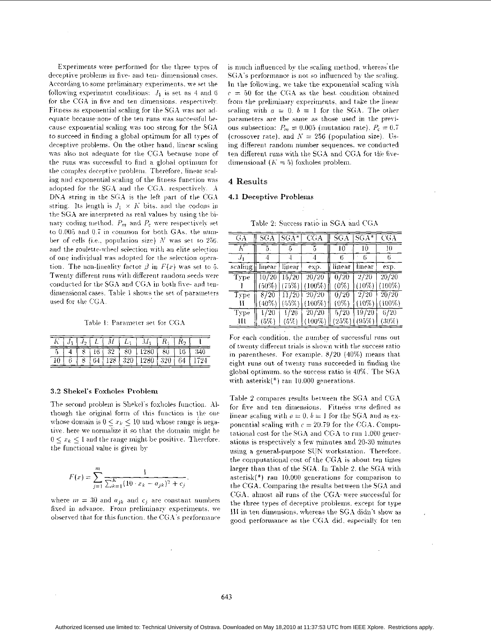<span id="page-4-0"></span>Experiments were performed for the three types of deceptive problems in five- and ten-dimensional cases. According to some preliminary experiments, we set the following experiment conditions:  $J_1$  is set as 4 and 6 for the CGA in five and ten dimensions, respectively. Fitness as exponential scaling for the SGA was not adequate because none of the ten runs was successful because exponential scaling was too strong for the SGA to succeed in finding a global optimum for all types of deceptive problems. On the other hand, linear scaling was also not adequate for the CGA because none of the runs was successful to find a global optimum for the complex deceptive problem. Therefore, linear scaling and exponential scaling of the fitness function was adopted for the SGA and the CGA, respectively. A DNA string in the SGA is the left part of the CGA string. Its length is  $J_1 \times K$  bits, and the codons in the SGA are interpreted as real values by using the binary coding method.  $P_m$  and  $P_c$  were respectively set to  $0.005$  and  $0.7$  in common for both GAs, the number of cells (i.e., population size)  $N$  was set to 256. and the roulette-wheel selection with an elite selection of one individual was adopted for the selection operation. The non-lineality factor  $\beta$  in  $F(x)$  was set to 5. Twenty different runs with different random seeds were conducted for the SGA and CGA in both five- and tendimensional cases. Table 1 shows the set of parameters used for the CGA.

Table 1: Parameter set for CGA

|  |  |  | $8$   16   32   80   1280   80   16   340                                                 |  |  |
|--|--|--|-------------------------------------------------------------------------------------------|--|--|
|  |  |  | $8\left[64\left[128\right]\right]320\left[1280\right]320\left[64\left[1724\right]\right]$ |  |  |

#### 3.2 Shekel's Foxholes Problem

The second problem is Shekel's foxholes function. Although the original form of this function is the one whose domain is  $0 \leq x_k \leq 10$  and whose range is negative, here we normalize it so that the domain might be  $0 \leq x_k \leq 1$  and the range might be positive. Therefore, the functional value is given by

$$
F(x) = \sum_{j=1}^{m} \frac{1}{\sum_{k=1}^{K} (10 \cdot x_k - a_{jk})^2 + c_j}.
$$

where  $m = 30$  and  $a_{jk}$  and  $c_j$  are constant numbers fixed in advance. From preliminary experiments, we observed that for this function, the CGA's performance is much influenced by the scaling method, whereas the SGA's performance is not so influenced by the scaling. In the following, we take the exponential scaling with  $c = 50$  for the CGA as the best condition obtained from the preliminary experiments, and take the linear scaling with  $a = 0$ ,  $b = 1$  for the SGA. The other parameters are the same as those used in the previous subsection:  $P_m = 0.005$  (mutation rate),  $P_c = 0.7$ (crossover rate), and  $N = 256$  (population size). Using different random number sequences, we conducted ten different runs with the SGA and CGA for the fivedimensional  $(K = 5)$  foxholes problem.

### 4 Results

#### 4.1 Deceptive Problems

| GĀ          | SGA      | $SGA*$          | $\overline{\text{CGA}}$     | $\overline{SGA}$             | $SGA*$   | CGA            |
|-------------|----------|-----------------|-----------------------------|------------------------------|----------|----------------|
| К           | 5.       | 5               | 5                           | 10                           |          | 10             |
|             | 4        | 4               | 4                           |                              | 6        |                |
| scaling     | linear   | linear          | exp.                        | linear                       | linear   | exp.           |
| Type        |          | $10/20$ $15/20$ | 20/20                       | $\overline{0}/\overline{20}$ | 2/20     | 20/20          |
|             |          |                 | $(50\%)$ $(75\%)$ $(100\%)$ | $(0\%)$                      | $(10\%)$ | $(100\%)$      |
| <b>Type</b> | 8/20     | 11/20           | 20720                       | 0/20                         | 2/20     | $\sqrt{20/20}$ |
| и           | $(40\%)$ | $(55\%)$        | $(100\%)$                   | $(0\%)$                      | $(10\%)$ | $(100\%)$      |
| <b>Type</b> | 1/20     | 1/20            | 20/20                       | 5/20                         | 19/20    | 6/20           |
| ш           | $(5\%)$  | (5%)            | $(100\%)$                   | (25%)                        | (95%)    | $(30\%)$       |

Table 2. Success ratio in SGA and CGA

For each condition, the number of successful runs out of twenty different trials is shown with the success ratio in parentheses. For example,  $8/20$  (40%) means that eight runs out of twenty runs succeeded in finding the global optimum, so the success ratio is  $40\%$ . The SGA with  $asterisk(*)$  ran 10.000 generations.

Table 2 compares results between the SGA and CGA for five and ten dimensions. Fitness was defined as linear scaling with  $a = 0$ ,  $b = 1$  for the SGA and as exponential scaling with  $c = 20.79$  for the CGA. Computational cost for the SGA and CGA to run 1,000 generations is respectively a few minutes and 20-30 minutes using a general-purpose SUN workstation. Therefore. the computational cost of the CGA is about ten times larger than that of the SGA. In Table 2, the SGA with asterisk $(*)$  ran 10.000 generations for comparison to the CGA. Comparing the results between the SGA and CGA, almost all runs of the CGA were successful for the three types of deceptive problems, except for type III in ten dimensions, whereas the SGA didn't show as good performance as the CGA did. especially for ten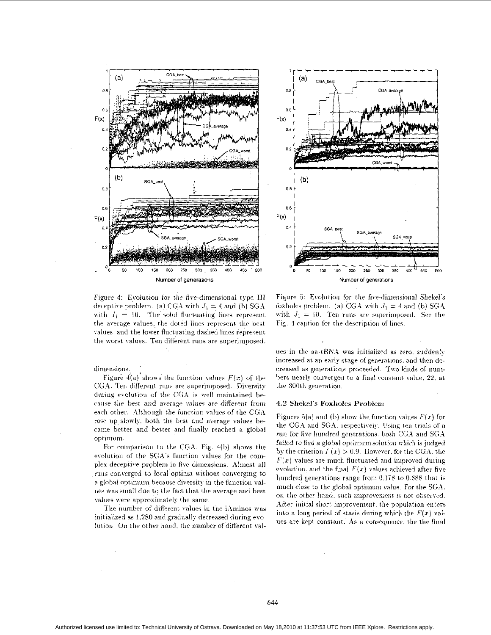



Figure 4: Evolution for the five-dimensional type III deceptive problem. (a) CGA with  $J_1 = 4$  and (b) SGA with  $J_1 = 10$ . The solid fluctuating lines represent the average values, the doted lines represent the best values, and the lower fluctuating dashed lines represent the worst values. Ten different runs are superimposed.

dimensions.

Figure 4(a) shows the function values  $F(x)$  of the CGA. Ten different runs are superimposed. Diversity during evolution of the CGA is well maintained because the best and average values are different from each other. Although the function values of the CGA rose up slowly, both the best and average values became better and better and finally reached a global optimum.

For comparison to the CGA. Fig. 4(b) shows the evolution of the SGA's function values for the complex deceptive problem in five dimensions. Almost all runs converged to local optima without converging to a global optimum because diversity in the function values was small due to the fact that the average and best values were approximately the same.

The number of different values in the iAminos was initialized as 1.280 and gradually decreased during evolution. On the other hand, the number of different val-

Figure 5: Evolution for the five-dimensional Shekel's foxholes problem. (a) CGA with  $J_1 = 4$  and (b) SGA with  $J_1 = 10$ . Ten runs are superimposed. See the Fig. 4 caption for the description of lines.

ues in the aa-tRNA was initialized as zero, suddenly increased at an early stage of generations, and then decreased as generations proceeded. Two kinds of numbers nearly converged to a final constant value, 22, at the 300th generation.

#### 4.2 Shekel's Foxholes Problem

Figures 5(a) and (b) show the function values  $F(x)$  for the CGA and SGA, respectively. Using ten trials of a run for five hundred generations, both CGA and SGA failed to find a global optimum solution which is judged by the criterion  $F(x) > 0.9$ . However, for the CGA, the  $F(x)$  values are much fluctuated and improved during evolution, and the final  $F(x)$  values achieved after five hundred generations range from  $0.178$  to  $0.888$  that is much close to the global optimum value. For the SGA, on the other hand, such improvement is not observed. After initial short improvement, the population enters into a long period of stasis during which the  $F(x)$  values are kept constant. As a consequence, the the final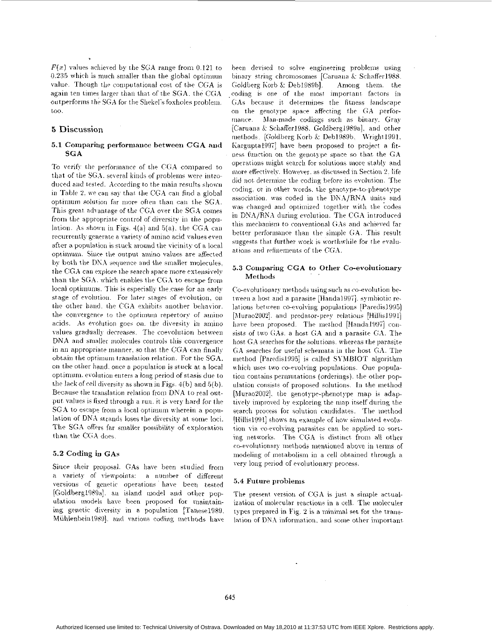$F(x)$  values achieved by the SGA range from 0.121 to 0.235 which is much smaller than the global optimum value. Though the computational cost of the CGA is again ten times larger than that of the SGA, the CGA outperforms the SGA for the Shekel's foxholes problem.  $\text{too.}$ 

### 5 Discussion

### 5.1 Comparing performance between CGA and **SGA**

To verify the performance of the CGA compared to that of the SGA, several kinds of problems were introduced and tested. According to the main results shown in Table 2, we can say that the CGA can find a global optimum solution far more often than can the SGA. This great advantage of the CGA over the SGA comes from the appropriate control of diversity in the population. As shown in Figs.  $4(a)$  and  $5(a)$ , the CGA can recurrently generate a variety of amino acid values even after a population is stuck around the vicinity of a local optimum. Since the output amino values are affected by both the DNA sequence and the smaller molecules. the CGA can explore the search space more extensively than the SGA, which enables the CGA to escape from local optimums. This is especially the case for an early stage of evolution. For later stages of evolution, on the other hand, the CGA exhibits another behavior. the convergence to the optimum repertory of amino acids. As evolution goes on, the diversity in amino values gradually decreases. The coevolution between DNA and smaller molecules controls this convergence in an appropriate manner, so that the CGA can finally obtain the optimum translation relation. For the SGA, on the other hand, once a population is stuck at a local optimum, evolution enters a long period of stasis due to the lack of cell diversity as shown in Figs. 4(b) and 5(b). Because the translation relation from DNA to real output values is fixed through a run, it is very hard for the SGA to escape from a local optimum wherein a population of DNA strands loses the diversity at some loci. The SGA offers far smaller possibility of exploration than the CGA does.

### 5.2 Coding in GAs

Since their proposal. GAs have been studied from a variety of viewpoints: a number of different versions of genetic operations have been tested [Goldberg1989a], an island model and other population models have been proposed for maintaining genetic diversity in a population [Tanese1989, Mühlenbein1989], and various coding methods have been devised to solve engineering problems using binary string chromosomes [Caruana & Schaffer1988, Goldberg Korb & Deb1989bl. Among them, the coding is one of the most important factors in GAs because it determines the fitness landscape on the genotype space affecting the GA performance. Man-made codings such as binary. Grav [Caruana & Schaffer1988, Goldberg1989a], and other methods, [Goldberg Korb & Deb1989b, Wright1991, Kargupta1997] have been proposed to project a fitness function on the genotype space so that the GA operations might search for solutions more stably and more effectively. However, as discussed in Section 2, life did not determine the coding before its evolution. The coding, or in other words, the genotype-to-phenotype association, was coded in the DNA/RNA units and was changed and optimized together with the codes in DNA/RNA during evolution. The CGA introduced this mechanism to conventional GAs and achieved far better performance than the simple GA. This result suggests that further work is worthwhile for the evaluations and refinements of the CGA.

### 5.3 Comparing CGA to Other Co-evolutionary Methods

Co-evolutionary methods using such as co-evolution between a host and a parasite [Handa1997], symbiotic relations between co-evolving populations [Paredis1995] [Murao2002]. and predator-prey relations [Hillis1991] have been proposed. The method [Handa1997] consists of two GAs. a host GA and a parasite GA. The host GA searches for the solutions, whereas the parasite GA searches for useful schemata in the host GA. The method [Paredis1995] is called SYMBIOT algorithm which uses two co-evolving populations. One population contains permutations (orderings), the other population consists of proposed solutions. In the method [Murao2002], the genotype-phenotype map is adaptively improved by exploring the map itself during the search process for solution candidates. The method [Hillis1991] shows an example of how simulated evolution via co-evolving parasites can be applied to sorting networks. The CGA is distinct from all other co-evolutionary methods mentioned above in terms of modeling of metabolism in a cell obtained through a very long period of evolutionary process.

#### 5.4 Future problems

The present version of CGA is just a simple actualization of molecular reactions in a cell. The moleculer types prepared in Fig. 2 is a minimal set for the translation of DNA information, and some other important